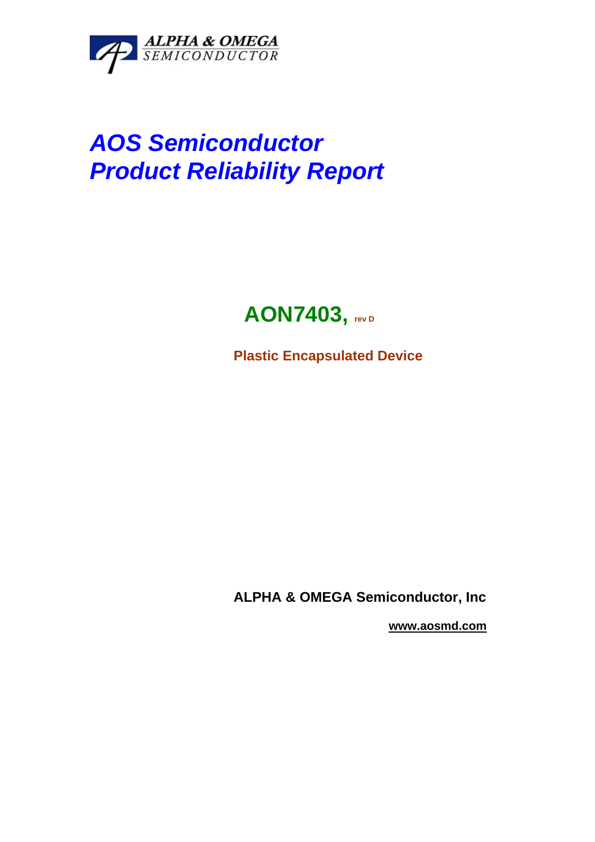

# *AOS Semiconductor Product Reliability Report*

## **AON7403, rev D**

**Plastic Encapsulated Device** 

**ALPHA & OMEGA Semiconductor, Inc** 

 **www.aosmd.com**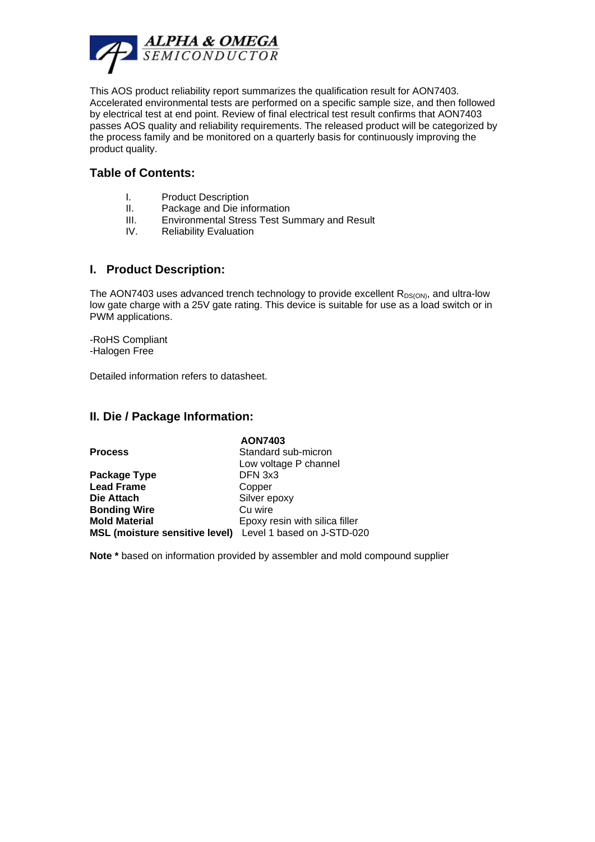

This AOS product reliability report summarizes the qualification result for AON7403. Accelerated environmental tests are performed on a specific sample size, and then followed by electrical test at end point. Review of final electrical test result confirms that AON7403 passes AOS quality and reliability requirements. The released product will be categorized by the process family and be monitored on a quarterly basis for continuously improving the product quality.

#### **Table of Contents:**

- I. Product Description
- II. Package and Die information
- III. Environmental Stress Test Summary and Result
- IV. Reliability Evaluation

#### **I. Product Description:**

The AON7403 uses advanced trench technology to provide excellent  $R_{DS(ON)}$ , and ultra-low low gate charge with a 25V gate rating. This device is suitable for use as a load switch or in PWM applications.

-RoHS Compliant -Halogen Free

Detailed information refers to datasheet.

#### **II. Die / Package Information:**

|                                                           | <b>AON7403</b>                 |
|-----------------------------------------------------------|--------------------------------|
| <b>Process</b>                                            | Standard sub-micron            |
|                                                           | Low voltage P channel          |
| Package Type                                              | DFN 3x3                        |
| <b>Lead Frame</b>                                         | Copper                         |
| Die Attach                                                | Silver epoxy                   |
| <b>Bonding Wire</b>                                       | Cu wire                        |
| <b>Mold Material</b>                                      | Epoxy resin with silica filler |
| MSL (moisture sensitive level) Level 1 based on J-STD-020 |                                |

**Note \*** based on information provided by assembler and mold compound supplier